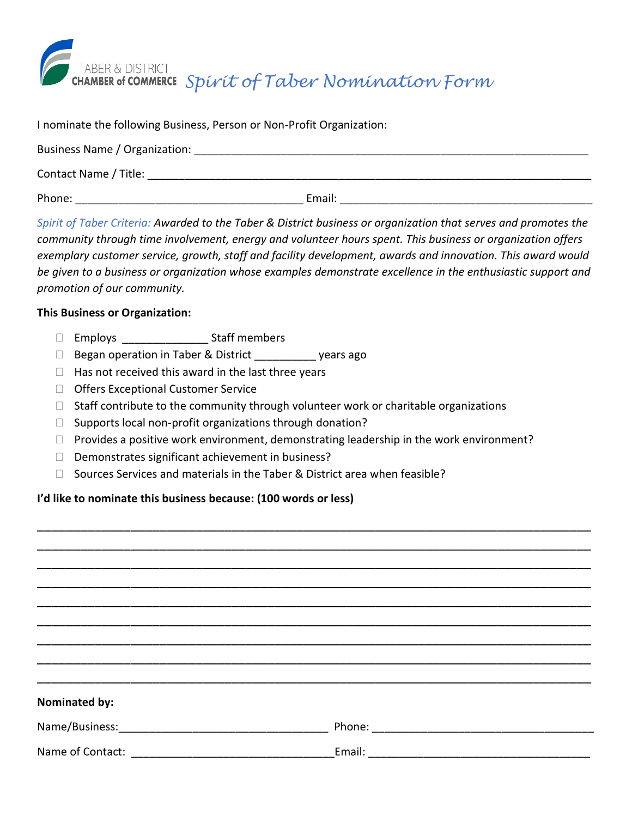

I nominate the following Business, Person or Non-Profit Organization:

| Business Name / Organization: |        |
|-------------------------------|--------|
| Contact Name / Title:         |        |
| Phone:                        | Email: |

*Spirit of Taber Criteria: Awarded to the Taber & District business or organization that serves and promotes the community through time involvement, energy and volunteer hours spent. This business or organization offers exemplary customer service, growth, staff and facility development, awards and innovation. This award would be given to a business or organization whose examples demonstrate excellence in the enthusiastic support and promotion of our community.*

## **This Business or Organization:**

- □ Employs Staff members
- □ Began operation in Taber & District years ago
- $\Box$  Has not received this award in the last three years
- □ Offers Exceptional Customer Service
- $\Box$  Staff contribute to the community through volunteer work or charitable organizations
- $\Box$  Supports local non-profit organizations through donation?
- $\Box$  Provides a positive work environment, demonstrating leadership in the work environment?
- $\square$  Demonstrates significant achievement in business?
- $\Box$  Sources Services and materials in the Taber & District area when feasible?

## **I'd like to nominate this business because: (100 words or less)**

| <b>Nominated by:</b> |                                                                                                                                 |
|----------------------|---------------------------------------------------------------------------------------------------------------------------------|
|                      |                                                                                                                                 |
|                      | Email:<br><u> 1980 - Jan James James James James James James James James James James James James James James James James Ja</u> |

\_\_\_\_\_\_\_\_\_\_\_\_\_\_\_\_\_\_\_\_\_\_\_\_\_\_\_\_\_\_\_\_\_\_\_\_\_\_\_\_\_\_\_\_\_\_\_\_\_\_\_\_\_\_\_\_\_\_\_\_\_\_\_\_\_\_\_\_\_\_\_\_\_\_\_\_\_